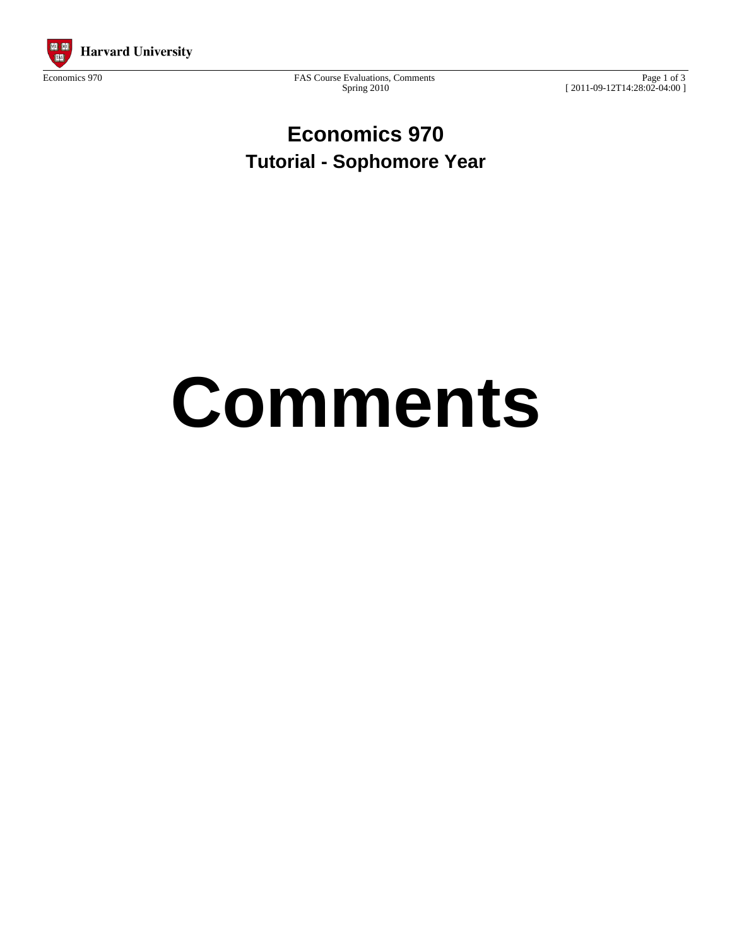

Spring 2010

Page 1 of 3 [ 2011-09-12T14:28:02-04:00 ]

**Economics 970 Tutorial - Sophomore Year**

# **Comments**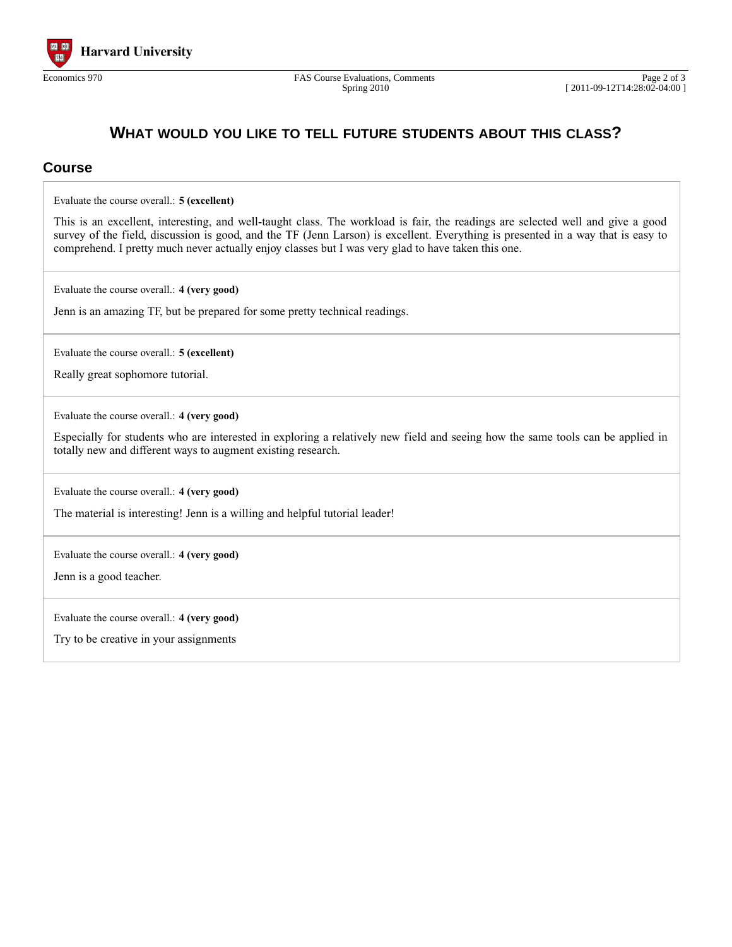

### **WHAT WOULD YOU LIKE TO TELL FUTURE STUDENTS ABOUT THIS CLASS?**

#### **Course**

Evaluate the course overall.: **5 (excellent)**

This is an excellent, interesting, and well-taught class. The workload is fair, the readings are selected well and give a good survey of the field, discussion is good, and the TF (Jenn Larson) is excellent. Everything is presented in a way that is easy to comprehend. I pretty much never actually enjoy classes but I was very glad to have taken this one.

Evaluate the course overall.: **4 (very good)**

Jenn is an amazing TF, but be prepared for some pretty technical readings.

Evaluate the course overall.: **5 (excellent)**

Really great sophomore tutorial.

Evaluate the course overall.: **4 (very good)**

Especially for students who are interested in exploring a relatively new field and seeing how the same tools can be applied in totally new and different ways to augment existing research.

Evaluate the course overall.: **4 (very good)**

The material is interesting! Jenn is a willing and helpful tutorial leader!

Evaluate the course overall.: **4 (very good)**

Jenn is a good teacher.

Evaluate the course overall.: **4 (very good)**

Try to be creative in your assignments